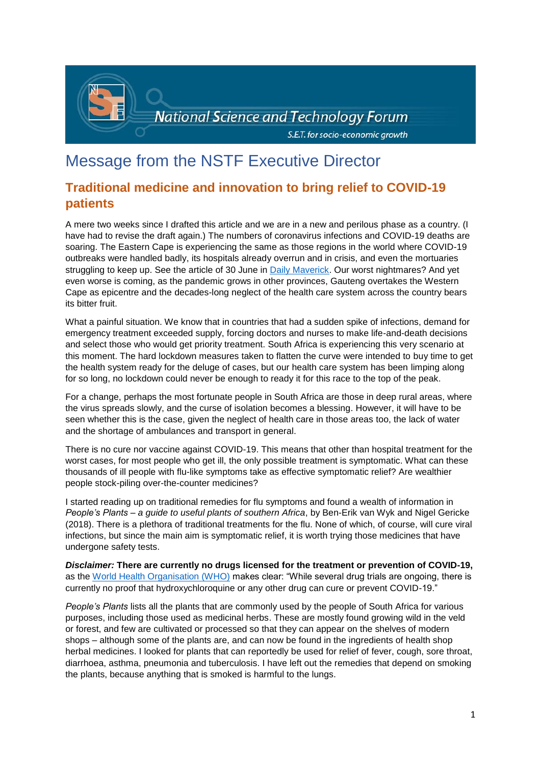

# Message from the NSTF Executive Director

# **Traditional medicine and innovation to bring relief to COVID-19 patients**

A mere two weeks since I drafted this article and we are in a new and perilous phase as a country. (I have had to revise the draft again.) The numbers of coronavirus infections and COVID-19 deaths are soaring. The Eastern Cape is experiencing the same as those regions in the world where COVID-19 outbreaks were handled badly, its hospitals already overrun and in crisis, and even the mortuaries struggling to keep up. See the article of 30 June in [Daily Maverick.](https://www.dailymaverick.co.za/article/2020-06-30-saving-eastern-cape-from-covid-19-existential-threat/?utm_medium=email&utm_campaign=First%20Thing%20Tuesday%2030%20June%202020%20Rain&utm_content=First%20Thing%20Tuesday%2030%20June%202020%20Rain+CID_87a2636f21cccbeb39c5b848213c7c5b&utm_source=TouchBasePro&utm_term=Saving%20Eastern%20Cape%20from%20Covid-19%20existential%20threat#gsc.tab=0) Our worst nightmares? And yet even worse is coming, as the pandemic grows in other provinces, Gauteng overtakes the Western Cape as epicentre and the decades-long neglect of the health care system across the country bears its bitter fruit.

What a painful situation. We know that in countries that had a sudden spike of infections, demand for emergency treatment exceeded supply, forcing doctors and nurses to make life-and-death decisions and select those who would get priority treatment. South Africa is experiencing this very scenario at this moment. The hard lockdown measures taken to flatten the curve were intended to buy time to get the health system ready for the deluge of cases, but our health care system has been limping along for so long, no lockdown could never be enough to ready it for this race to the top of the peak.

For a change, perhaps the most fortunate people in South Africa are those in deep rural areas, where the virus spreads slowly, and the curse of isolation becomes a blessing. However, it will have to be seen whether this is the case, given the neglect of health care in those areas too, the lack of water and the shortage of ambulances and transport in general.

There is no cure nor vaccine against COVID-19. This means that other than hospital treatment for the worst cases, for most people who get ill, the only possible treatment is symptomatic. What can these thousands of ill people with flu-like symptoms take as effective symptomatic relief? Are wealthier people stock-piling over-the-counter medicines?

I started reading up on traditional remedies for flu symptoms and found a wealth of information in *People's Plants – a guide to useful plants of southern Africa*, by Ben-Erik van Wyk and Nigel Gericke (2018). There is a plethora of traditional treatments for the flu. None of which, of course, will cure viral infections, but since the main aim is symptomatic relief, it is worth trying those medicines that have undergone safety tests.

*Disclaimer:* **There are currently no drugs licensed for the treatment or prevention of COVID-19,**  as the [World Health Organisation \(WHO\)](https://www.who.int/emergencies/diseases/novel-coronavirus-2019/advice-for-public/myth-busters) makes clear: "While several drug trials are ongoing, there is currently no proof that hydroxychloroquine or any other drug can cure or prevent COVID-19."

*People's Plants* lists all the plants that are commonly used by the people of South Africa for various purposes, including those used as medicinal herbs. These are mostly found growing wild in the veld or forest, and few are cultivated or processed so that they can appear on the shelves of modern shops – although some of the plants are, and can now be found in the ingredients of health shop herbal medicines. I looked for plants that can reportedly be used for relief of fever, cough, sore throat, diarrhoea, asthma, pneumonia and tuberculosis. I have left out the remedies that depend on smoking the plants, because anything that is smoked is harmful to the lungs.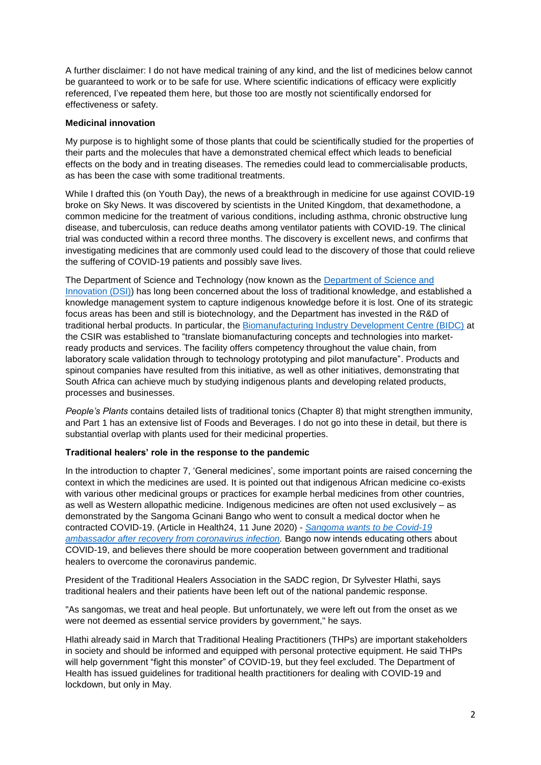A further disclaimer: I do not have medical training of any kind, and the list of medicines below cannot be guaranteed to work or to be safe for use. Where scientific indications of efficacy were explicitly referenced, I've repeated them here, but those too are mostly not scientifically endorsed for effectiveness or safety.

# **Medicinal innovation**

My purpose is to highlight some of those plants that could be scientifically studied for the properties of their parts and the molecules that have a demonstrated chemical effect which leads to beneficial effects on the body and in treating diseases. The remedies could lead to commercialisable products, as has been the case with some traditional treatments.

While I drafted this (on Youth Day), the news of a breakthrough in medicine for use against COVID-19 broke on Sky News. It was discovered by scientists in the United Kingdom, that dexamethodone, a common medicine for the treatment of various conditions, including asthma, chronic obstructive lung disease, and tuberculosis, can reduce deaths among ventilator patients with COVID-19. The clinical trial was conducted within a record three months. The discovery is excellent news, and confirms that investigating medicines that are commonly used could lead to the discovery of those that could relieve the suffering of COVID-19 patients and possibly save lives.

The Department of Science and Technology (now known as the [Department of Science and](https://www.dst.gov.za/)  [Innovation \(DSI\)\)](https://www.dst.gov.za/) has long been concerned about the loss of traditional knowledge, and established a knowledge management system to capture indigenous knowledge before it is lost. One of its strategic focus areas has been and still is biotechnology, and the Department has invested in the R&D of traditional herbal products. In particular, the [Biomanufacturing Industry Development Centre \(BIDC\)](https://www.csir.co.za/biomanufacturing-industry-development-centre) at the CSIR was established to "translate biomanufacturing concepts and technologies into marketready products and services. The facility offers competency throughout the value chain, from laboratory scale validation through to technology prototyping and pilot manufacture". Products and spinout companies have resulted from this initiative, as well as other initiatives, demonstrating that South Africa can achieve much by studying indigenous plants and developing related products, processes and businesses.

*People's Plants* contains detailed lists of traditional tonics (Chapter 8) that might strengthen immunity, and Part 1 has an extensive list of Foods and Beverages. I do not go into these in detail, but there is substantial overlap with plants used for their medicinal properties.

# **Traditional healers' role in the response to the pandemic**

In the introduction to chapter 7, 'General medicines', some important points are raised concerning the context in which the medicines are used. It is pointed out that indigenous African medicine co-exists with various other medicinal groups or practices for example herbal medicines from other countries, as well as Western allopathic medicine. Indigenous medicines are often not used exclusively – as demonstrated by the Sangoma Gcinani Bango who went to consult a medical doctor when he contracted COVID-19. (Article in Health24, 11 June 2020) - *[Sangoma wants to](https://www.health24.com/Medical/Infectious-diseases/Coronavirus/sangoma-wants-to-be-covid-19-ambassador-after-recovery-from-coronavirus-infection-20200609) be Covid-19 [ambassador after recovery from coronavirus infection.](https://www.health24.com/Medical/Infectious-diseases/Coronavirus/sangoma-wants-to-be-covid-19-ambassador-after-recovery-from-coronavirus-infection-20200609)* Bango now intends educating others about COVID-19, and believes there should be more cooperation between government and traditional healers to overcome the coronavirus pandemic.

President of the Traditional Healers Association in the SADC region, Dr Sylvester Hlathi, says traditional healers and their patients have been left out of the national pandemic response.

"As sangomas, we treat and heal people. But unfortunately, we were left out from the onset as we were not deemed as essential service providers by government," he says.

Hlathi already said in March that Traditional Healing Practitioners (THPs) are important stakeholders in society and should be informed and equipped with personal protective equipment. He said THPs will help government "fight this monster" of COVID-19, but they feel excluded. The Department of Health has issued guidelines for traditional health practitioners for dealing with COVID-19 and lockdown, but only in May.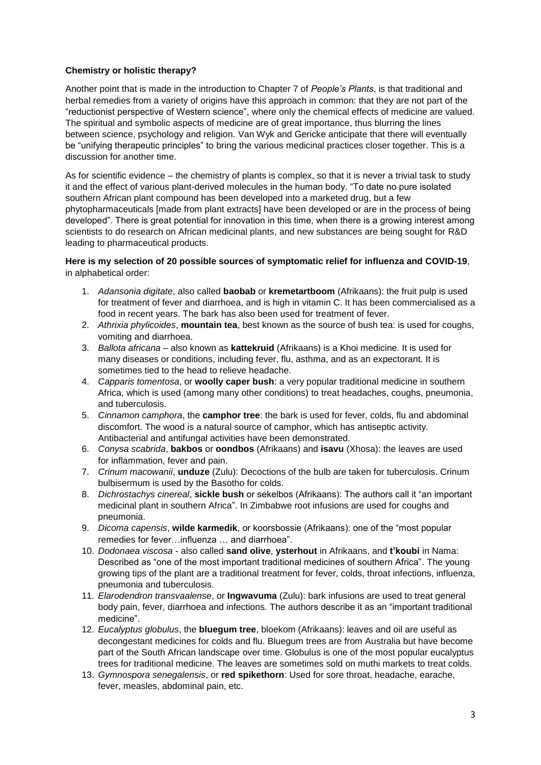# **Chemistry or holistic therapy?**

Another point that is made in the introduction to Chapter 7 of *People's Plants*, is that traditional and herbal remedies from a variety of origins have this approach in common: that they are not part of the "reductionist perspective of Western science", where only the chemical effects of medicine are valued. The spiritual and symbolic aspects of medicine are of great importance, thus blurring the lines between science, psychology and religion. Van Wyk and Gericke anticipate that there will eventually be "unifying therapeutic principles" to bring the various medicinal practices closer together. This is a discussion for another time.

As for scientific evidence – the chemistry of plants is complex, so that it is never a trivial task to study it and the effect of various plant-derived molecules in the human body. "To date no pure isolated southern African plant compound has been developed into a marketed drug, but a few phytopharmaceuticals [made from plant extracts] have been developed or are in the process of being developed". There is great potential for innovation in this time, when there is a growing interest among scientists to do research on African medicinal plants, and new substances are being sought for R&D leading to pharmaceutical products.

# **Here is my selection of 20 possible sources of symptomatic relief for influenza and COVID-19**, in alphabetical order:

- 1. *Adansonia digitate*, also called **baobab** or **kremetartboom** (Afrikaans): the fruit pulp is used for treatment of fever and diarrhoea, and is high in vitamin C. It has been commercialised as a food in recent years. The bark has also been used for treatment of fever.
- 2. *Athrixia phylicoides*, **mountain tea**, best known as the source of bush tea: is used for coughs, vomiting and diarrhoea.
- 3. *Ballota africana* also known as **kattekruid** (Afrikaans) is a Khoi medicine. It is used for many diseases or conditions, including fever, flu, asthma, and as an expectorant. It is sometimes tied to the head to relieve headache.
- 4. *Capparis tomentosa*, or **woolly caper bush**: a very popular traditional medicine in southern Africa, which is used (among many other conditions) to treat headaches, coughs, pneumonia, and tuberculosis.
- 5. *Cinnamon camphora*, the **camphor tree**: the bark is used for fever, colds, flu and abdominal discomfort. The wood is a natural source of camphor, which has antiseptic activity. Antibacterial and antifungal activities have been demonstrated.
- 6. *Conysa scabrida*, **bakbos** or **oondbos** (Afrikaans) and **isavu** (Xhosa): the leaves are used for inflammation, fever and pain.
- 7. *Crinum macowanii*, **unduze** (Zulu): Decoctions of the bulb are taken for tuberculosis. Crinum bulbisermum is used by the Basotho for colds.
- 8. *Dichrostachys cinereal*, **sickle bush** or sekelbos (Afrikaans): The authors call it "an important medicinal plant in southern Africa". In Zimbabwe root infusions are used for coughs and pneumonia.
- 9. *Dicoma capensis*, **wilde karmedik**, or koorsbossie (Afrikaans): one of the "most popular remedies for fever…influenza … and diarrhoea".
- 10. *Dodonaea viscosa* also called **sand olive**, **ysterhout** in Afrikaans, and **t'koubi** in Nama: Described as "one of the most important traditional medicines of southern Africa". The young growing tips of the plant are a traditional treatment for fever, colds, throat infections, influenza, pneumonia and tuberculosis.
- 11. *Elarodendron transvaalense*, or **Ingwavuma** (Zulu): bark infusions are used to treat general body pain, fever, diarrhoea and infections. The authors describe it as an "important traditional medicine".
- 12. *Eucalyptus globulus*, the **bluegum tree**, bloekom (Afrikaans): leaves and oil are useful as decongestant medicines for colds and flu. Bluegum trees are from Australia but have become part of the South African landscape over time. Globulus is one of the most popular eucalyptus trees for traditional medicine. The leaves are sometimes sold on muthi markets to treat colds.
- 13. *Gymnospora senegalensis*, or **red spikethorn**: Used for sore throat, headache, earache, fever, measles, abdominal pain, etc.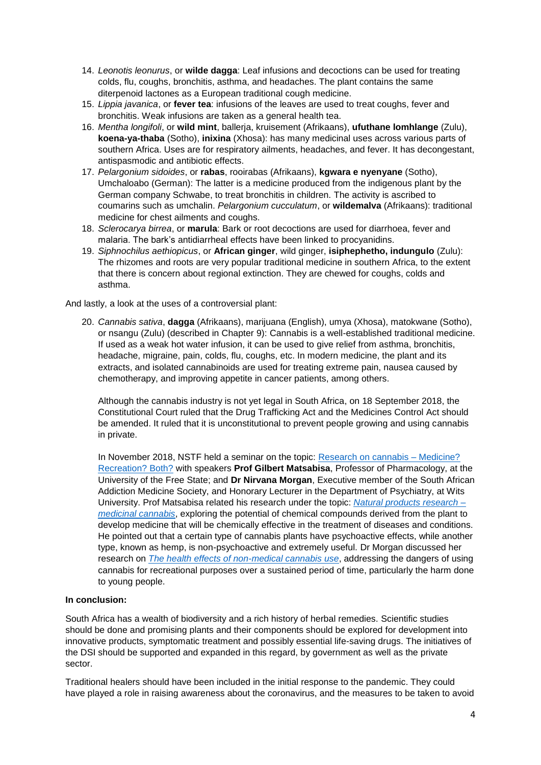- 14. *Leonotis leonurus*, or **wilde dagga**: Leaf infusions and decoctions can be used for treating colds, flu, coughs, bronchitis, asthma, and headaches. The plant contains the same diterpenoid lactones as a European traditional cough medicine.
- 15. *Lippia javanica*, or **fever tea**: infusions of the leaves are used to treat coughs, fever and bronchitis. Weak infusions are taken as a general health tea.
- 16. *Mentha longifoli*, or **wild mint**, ballerja, kruisement (Afrikaans), **ufuthane lomhlange** (Zulu), **koena-ya-thaba** (Sotho), **inixina** (Xhosa): has many medicinal uses across various parts of southern Africa. Uses are for respiratory ailments, headaches, and fever. It has decongestant, antispasmodic and antibiotic effects.
- 17. *Pelargonium sidoides*, or **rabas**, rooirabas (Afrikaans), **kgwara e nyenyane** (Sotho), Umchaloabo (German): The latter is a medicine produced from the indigenous plant by the German company Schwabe, to treat bronchitis in children. The activity is ascribed to coumarins such as umchalin. *Pelargonium cucculatum*, or **wildemalva** (Afrikaans): traditional medicine for chest ailments and coughs.
- 18. *Sclerocarya birrea*, or **marula**: Bark or root decoctions are used for diarrhoea, fever and malaria. The bark's antidiarrheal effects have been linked to procyanidins.
- 19. *Siphnochilus aethiopicus*, or **African ginger**, wild ginger, **isiphephetho, indungulo** (Zulu): The rhizomes and roots are very popular traditional medicine in southern Africa, to the extent that there is concern about regional extinction. They are chewed for coughs, colds and asthma.

And lastly, a look at the uses of a controversial plant:

20. *Cannabis sativa*, **dagga** (Afrikaans), marijuana (English), umya (Xhosa), matokwane (Sotho), or nsangu (Zulu) (described in Chapter 9): Cannabis is a well-established traditional medicine. If used as a weak hot water infusion, it can be used to give relief from asthma, bronchitis, headache, migraine, pain, colds, flu, coughs, etc. In modern medicine, the plant and its extracts, and isolated cannabinoids are used for treating extreme pain, nausea caused by chemotherapy, and improving appetite in cancer patients, among others.

Although the cannabis industry is not yet legal in South Africa, on 18 September 2018, the Constitutional Court ruled that the Drug Trafficking Act and the Medicines Control Act should be amended. It ruled that it is unconstitutional to prevent people growing and using cannabis in private.

In November 2018, NSTF held a seminar on the topic: [Research on cannabis –](http://www.nstf.org.za/discussion-forum/cannabis-sativa-research/) Medicine? [Recreation? Both?](http://www.nstf.org.za/discussion-forum/cannabis-sativa-research/) with speakers **Prof Gilbert Matsabisa**, Professor of Pharmacology, at the University of the Free State; and **Dr Nirvana Morgan**, Executive member of the South African Addiction Medicine Society, and Honorary Lecturer in the Department of Psychiatry, at Wits University. Prof Matsabisa related his research under the topic: *[Natural products research –](https://www.youtube.com/watch?v=PA_O4IztB50) [medicinal cannabis](https://www.youtube.com/watch?v=PA_O4IztB50)*, exploring the potential of chemical compounds derived from the plant to develop medicine that will be chemically effective in the treatment of diseases and conditions. He pointed out that a certain type of cannabis plants have psychoactive effects, while another type, known as hemp, is non-psychoactive and extremely useful. Dr Morgan discussed her research on *[The health effects of non-medical cannabis use](https://www.youtube.com/watch?v=tVse_Vn5Bp4)*, addressing the dangers of using cannabis for recreational purposes over a sustained period of time, particularly the harm done to young people.

# **In conclusion:**

South Africa has a wealth of biodiversity and a rich history of herbal remedies. Scientific studies should be done and promising plants and their components should be explored for development into innovative products, symptomatic treatment and possibly essential life-saving drugs. The initiatives of the DSI should be supported and expanded in this regard, by government as well as the private sector.

Traditional healers should have been included in the initial response to the pandemic. They could have played a role in raising awareness about the coronavirus, and the measures to be taken to avoid